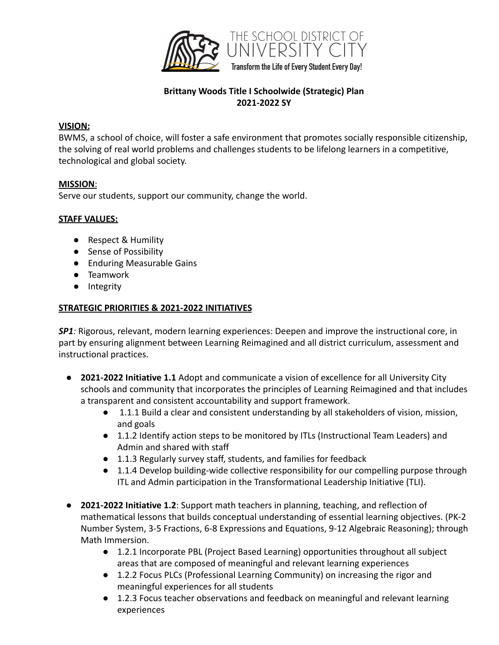

# **Brittany Woods Title I Schoolwide (Strategic) Plan 2021-2022 SY**

### **VISION:**

BWMS, a school of choice, will foster a safe environment that promotes socially responsible citizenship, the solving of real world problems and challenges students to be lifelong learners in a competitive, technological and global society.

### **MISSION**:

Serve our students, support our community, change the world.

### **STAFF VALUES:**

- Respect & Humility
- Sense of Possibility
- Enduring Measurable Gains
- Teamwork
- Integrity

### **STRATEGIC PRIORITIES & 2021-2022 INITIATIVES**

*SP1:* Rigorous, relevant, modern learning experiences: Deepen and improve the instructional core, in part by ensuring alignment between Learning Reimagined and all district curriculum, assessment and instructional practices.

- **2021-2022 Initiative 1.1** Adopt and communicate a vision of excellence for all University City schools and community that incorporates the principles of Learning Reimagined and that includes a transparent and consistent accountability and support framework.
	- 1.1.1 Build a clear and consistent understanding by all stakeholders of vision, mission, and goals
	- 1.1.2 Identify action steps to be monitored by ITLs (Instructional Team Leaders) and Admin and shared with staff
	- 1.1.3 Regularly survey staff, students, and families for feedback
	- 1.1.4 Develop building-wide collective responsibility for our compelling purpose through ITL and Admin participation in the Transformational Leadership Initiative (TLI).
- **2021-2022 Initiative 1.2**: Support math teachers in planning, teaching, and reflection of mathematical lessons that builds conceptual understanding of essential learning objectives. (PK-2 Number System, 3-5 Fractions, 6-8 Expressions and Equations, 9-12 Algebraic Reasoning); through Math Immersion.
	- 1.2.1 Incorporate PBL (Project Based Learning) opportunities throughout all subject areas that are composed of meaningful and relevant learning experiences
	- 1.2.2 Focus PLCs (Professional Learning Community) on increasing the rigor and meaningful experiences for all students
	- 1.2.3 Focus teacher observations and feedback on meaningful and relevant learning experiences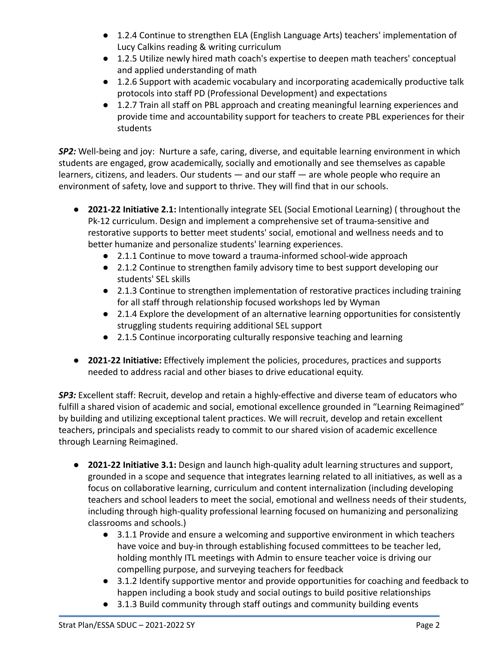- 1.2.4 Continue to strengthen ELA (English Language Arts) teachers' implementation of Lucy Calkins reading & writing curriculum
- 1.2.5 Utilize newly hired math coach's expertise to deepen math teachers' conceptual and applied understanding of math
- 1.2.6 Support with academic vocabulary and incorporating academically productive talk protocols into staff PD (Professional Development) and expectations
- 1.2.7 Train all staff on PBL approach and creating meaningful learning experiences and provide time and accountability support for teachers to create PBL experiences for their students

*SP2:* Well-being and joy: Nurture a safe, caring, diverse, and equitable learning environment in which students are engaged, grow academically, socially and emotionally and see themselves as capable learners, citizens, and leaders. Our students — and our staff — are whole people who require an environment of safety, love and support to thrive. They will find that in our schools.

- **2021-22 Initiative 2.1:** Intentionally integrate SEL (Social Emotional Learning) ( throughout the Pk-12 curriculum. Design and implement a comprehensive set of trauma-sensitive and restorative supports to better meet students' social, emotional and wellness needs and to better humanize and personalize students' learning experiences.
	- 2.1.1 Continue to move toward a trauma-informed school-wide approach
	- 2.1.2 Continue to strengthen family advisory time to best support developing our students' SEL skills
	- 2.1.3 Continue to strengthen implementation of restorative practices including training for all staff through relationship focused workshops led by Wyman
	- 2.1.4 Explore the development of an alternative learning opportunities for consistently struggling students requiring additional SEL support
	- 2.1.5 Continue incorporating culturally responsive teaching and learning
- **2021-22 Initiative:** Effectively implement the policies, procedures, practices and supports needed to address racial and other biases to drive educational equity.

*SP3:* Excellent staff: Recruit, develop and retain a highly-effective and diverse team of educators who fulfill a shared vision of academic and social, emotional excellence grounded in "Learning Reimagined" by building and utilizing exceptional talent practices. We will recruit, develop and retain excellent teachers, principals and specialists ready to commit to our shared vision of academic excellence through Learning Reimagined.

- **2021-22 Initiative 3.1:** Design and launch high-quality adult learning structures and support, grounded in a scope and sequence that integrates learning related to all initiatives, as well as a focus on collaborative learning, curriculum and content internalization (including developing teachers and school leaders to meet the social, emotional and wellness needs of their students, including through high-quality professional learning focused on humanizing and personalizing classrooms and schools.)
	- 3.1.1 Provide and ensure a welcoming and supportive environment in which teachers have voice and buy-in through establishing focused committees to be teacher led, holding monthly ITL meetings with Admin to ensure teacher voice is driving our compelling purpose, and surveying teachers for feedback
	- 3.1.2 Identify supportive mentor and provide opportunities for coaching and feedback to happen including a book study and social outings to build positive relationships
	- 3.1.3 Build community through staff outings and community building events